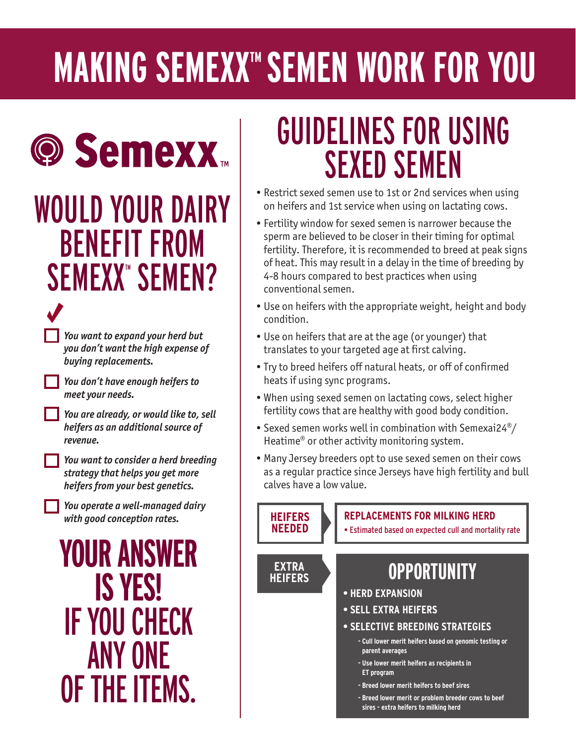# **MAKING SEMEXX™ SEMEN WORK FOR YOU**



#### WOULD YOUR DAIRY BENEFIT FROM SEMEXX<sup>™</sup> SEMEN?

*You want to expand your herd but you don't want the high expense of buying replacements.*

*You don't have enough heifers to meet your needs.*

*You are already, or would like to, sell heifers as an additional source of revenue.*

*You want to consider a herd breeding strategy that helps you get more heifers from your best genetics.* 

*You operate a well-managed dairy with good conception rates.*

**YOUR ANSWER IS YES!**  IF YOU CHECK ANY ONE OF THE ITEMS.

### GUIDELINES FOR USING SEXED SEMEN

- Restrict sexed semen use to 1st or 2nd services when using on heifers and 1st service when using on lactating cows.
- Fertility window for sexed semen is narrower because the sperm are believed to be closer in their timing for optimal fertility. Therefore, it is recommended to breed at peak signs of heat. This may result in a delay in the time of breeding by 4-8 hours compared to best practices when using conventional semen.
- Use on heifers with the appropriate weight, height and body condition.
- Use on heifers that are at the age (or younger) that translates to your targeted age at first calving.
- Try to breed heifers off natural heats, or off of confirmed heats if using sync programs.
- When using sexed semen on lactating cows, select higher fertility cows that are healthy with good body condition.
- Sexed semen works well in combination with Semexai24®/ Heatime® or other activity monitoring system.
- Many Jersey breeders opt to use sexed semen on their cows as a regular practice since Jerseys have high fertility and bull calves have a low value.